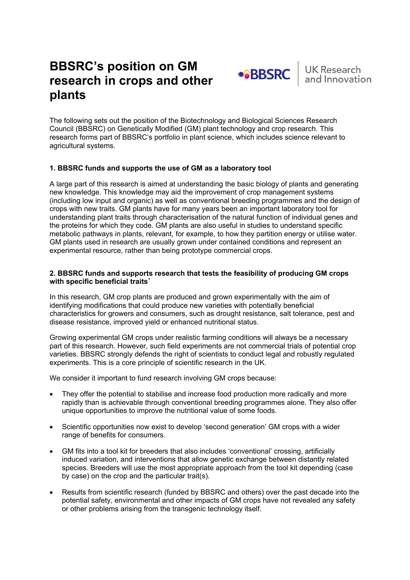# **BBSRC's position on GM research in crops and other plants**



The following sets out the position of the Biotechnology and Biological Sciences Research Council (BBSRC) on Genetically Modified (GM) plant technology and crop research. This research forms part of BBSRC's portfolio in plant science, which includes science relevant to agricultural systems.

## **1. BBSRC funds and supports the use of GM as a laboratory tool**

A large part of this research is aimed at understanding the basic biology of plants and generating new knowledge. This knowledge may aid the improvement of crop management systems (including low input and organic) as well as conventional breeding programmes and the design of crops with new traits. GM plants have for many years been an important laboratory tool for understanding plant traits through characterisation of the natural function of individual genes and the proteins for which they code. GM plants are also useful in studies to understand specific metabolic pathways in plants, relevant, for example, to how they partition energy or utilise water. GM plants used in research are usually grown under contained conditions and represent an experimental resource, rather than being prototype commercial crops.

#### **2. BBSRC funds and supports research that tests the feasibility of producing GM crops with specific beneficial traits[\\*](#page-1-0)**

In this research, GM crop plants are produced and grown experimentally with the aim of identifying modifications that could produce new varieties with potentially beneficial characteristics for growers and consumers, such as drought resistance, salt tolerance, pest and disease resistance, improved yield or enhanced nutritional status.

Growing experimental GM crops under realistic farming conditions will always be a necessary part of this research. However, such field experiments are not commercial trials of potential crop varieties. BBSRC strongly defends the right of scientists to conduct legal and robustly regulated experiments. This is a core principle of scientific research in the UK.

We consider it important to fund research involving GM crops because:

- They offer the potential to stabilise and increase food production more radically and more rapidly than is achievable through conventional breeding programmes alone. They also offer unique opportunities to improve the nutritional value of some foods.
- Scientific opportunities now exist to develop 'second generation' GM crops with a wider range of benefits for consumers.
- GM fits into a tool kit for breeders that also includes 'conventional' crossing, artificially induced variation, and interventions that allow genetic exchange between distantly related species. Breeders will use the most appropriate approach from the tool kit depending (case by case) on the crop and the particular trait(s).
- Results from scientific research (funded by BBSRC and others) over the past decade into the potential safety, environmental and other impacts of GM crops have not revealed any safety or other problems arising from the transgenic technology itself.